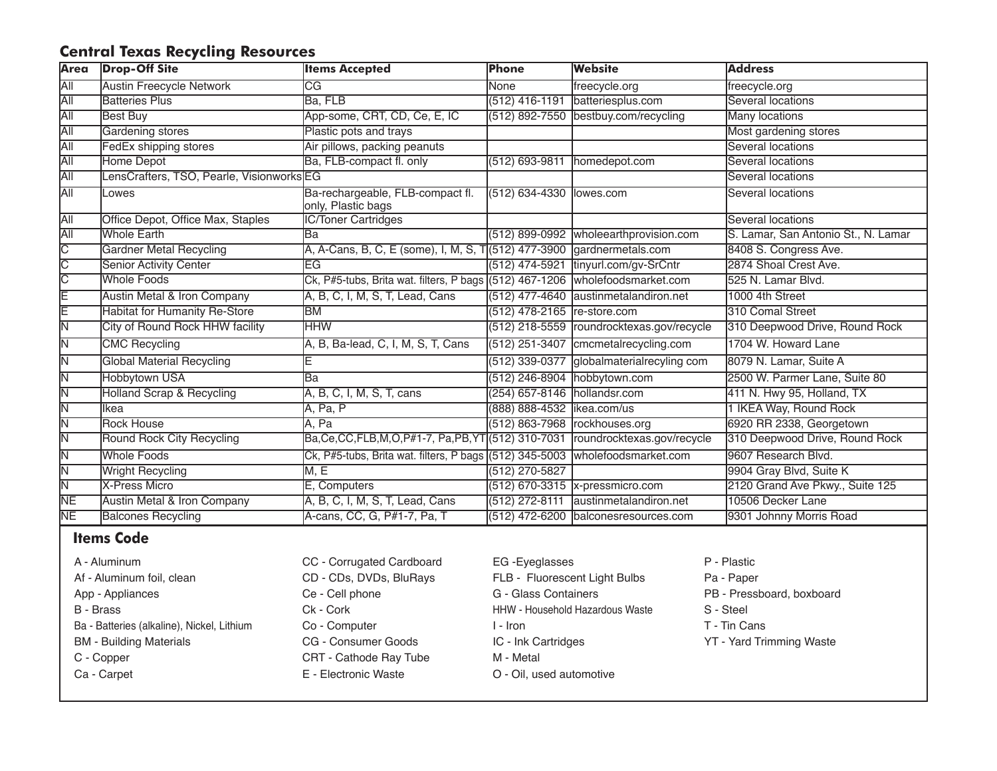## **Central Texas Recycling Resources**

| <b>Area</b> | <b>Drop-Off Site</b>                     | <b>Items Accepted</b>                                                                | Phone                        | <b>Website</b>                             | <b>Address</b>                      |
|-------------|------------------------------------------|--------------------------------------------------------------------------------------|------------------------------|--------------------------------------------|-------------------------------------|
| <b>All</b>  | <b>Austin Freecycle Network</b>          | CG                                                                                   | None                         | freecycle.org                              | freecycle.org                       |
| All         | <b>Batteries Plus</b>                    | Ba, FLB                                                                              | $(512)$ 416-1191             | batteriesplus.com                          | Several locations                   |
| All         | <b>Best Buy</b>                          | App-some, CRT, CD, Ce, E, IC                                                         |                              | (512) 892-7550 bestbuy.com/recycling       | <b>Many locations</b>               |
| All         | Gardening stores                         | Plastic pots and trays                                                               |                              |                                            | Most gardening stores               |
| <b>All</b>  | <b>FedEx shipping stores</b>             | Air pillows, packing peanuts                                                         |                              |                                            | Several locations                   |
| All         | Home Depot                               | Ba, FLB-compact fl. only                                                             | (512) 693-9811               | homedepot.com                              | Several locations                   |
| <b>All</b>  | LensCrafters, TSO, Pearle, VisionworksEG |                                                                                      |                              |                                            | Several locations                   |
| <b>AII</b>  | lLowes                                   | Ba-rechargeable, FLB-compact fl.<br>only, Plastic bags                               | (512) 634-4330 lowes.com     |                                            | Several locations                   |
| ĀΙΙ         | <b>Office Depot, Office Max, Staples</b> | <b>IC/Toner Cartridges</b>                                                           |                              |                                            | Several locations                   |
| <b>All</b>  | <b>Whole Earth</b>                       | lBa                                                                                  |                              | (512) 899-0992  wholeearthprovision.com    | S. Lamar, San Antonio St., N. Lamar |
| IС          | <b>Gardner Metal Recycling</b>           | A, A-Cans, B, C, E (some), I, M, S, T(512) 477-3900 gardnermetals.com                |                              |                                            | 8408 S. Congress Ave.               |
| C           | <b>Senior Activity Center</b>            | EG                                                                                   |                              | (512) 474-5921 tinyurl.com/gv-SrCntr       | 2874 Shoal Crest Ave.               |
| C           | <b>Whole Foods</b>                       | Ck, P#5-tubs, Brita wat. filters, P bags (512) 467-1206 wholefoodsmarket.com         |                              |                                            | 525 N. Lamar Blvd.                  |
| Ε           | <b>Austin Metal &amp; Iron Company</b>   | A, B, C, I, M, S, T, Lead, Cans                                                      |                              | (512) 477-4640 austinmetalandiron.net      | 1000 4th Street                     |
| E           | <b>Habitat for Humanity Re-Store</b>     | BM                                                                                   | (512) 478-2165 re-store.com  |                                            | 310 Comal Street                    |
| ΙN          | <b>City of Round Rock HHW facility</b>   | <b>HHW</b>                                                                           |                              | (512) 218-5559  roundrocktexas.gov/recycle | 310 Deepwood Drive, Round Rock      |
| ΙN          | <b>CMC Recycling</b>                     | A, B, Ba-lead, C, I, M, S, T, Cans                                                   |                              | (512) 251-3407 cmcmetalrecycling.com       | 1704 W. Howard Lane                 |
| ΙN          | <b>Global Material Recycling</b>         |                                                                                      |                              | (512) 339-0377 globalmaterialrecyling com  | 8079 N. Lamar, Suite A              |
| ΙN          | <b>Hobbytown USA</b>                     | lBa                                                                                  |                              | (512) 246-8904 hobbytown.com               | 2500 W. Parmer Lane, Suite 80       |
| ΙN          | <b>Holland Scrap &amp; Recycling</b>     | A, B, C, I, M, S, T, cans                                                            | (254) 657-8146 hollandsr.com |                                            | 411 N. Hwy 95, Holland, TX          |
| ΙN          | llkea                                    | A, Pa, P                                                                             | (888) 888-4532 likea.com/us  |                                            | 1 IKEA Way, Round Rock              |
| ΙN          | <b>Rock House</b>                        | A, Pa                                                                                |                              | (512) 863-7968 rockhouses.org              | 6920 RR 2338, Georgetown            |
| ΙN          | Round Rock City Recycling                | Ba, Ce, CC, FLB, M, O, P#1-7, Pa, PB, YT (512) 310-7031   roundrocktexas.gov/recycle |                              |                                            | 310 Deepwood Drive, Round Rock      |
| ΙN          | <b>Whole Foods</b>                       | Ck, P#5-tubs, Brita wat. filters, P bags (512) 345-5003  wholefoodsmarket.com        |                              |                                            | 9607 Research Blvd.                 |
| ΙN          | <b>Wright Recycling</b>                  | M, E                                                                                 | $(512)$ 270-5827             |                                            | 9904 Gray Blvd, Suite K             |
| N           | <b>X-Press Micro</b>                     | E, Computers                                                                         |                              | $(512)$ 670-3315 $x$ -pressmicro.com       | 2120 Grand Ave Pkwy., Suite 125     |
| <b>NE</b>   | <b>Austin Metal &amp; Iron Company</b>   | A, B, C, I, M, S, T, Lead, Cans                                                      |                              | (512) 272-8111 austinmetalandiron.net      | 10506 Decker Lane                   |
| <b>NE</b>   | <b>Balcones Recycling</b>                | A-cans, CC, G, P#1-7, Pa, T                                                          |                              | (512) 472-6200 balconesresources.com       | 9301 Johnny Morris Road             |

## **Items Code**

| A - Aluminum                               | CC - Corrugated Cardboard | EG-Eyeglasses                          | P - Plastic               |
|--------------------------------------------|---------------------------|----------------------------------------|---------------------------|
| Af - Aluminum foil, clean                  | CD - CDs, DVDs, BluRays   | FLB - Fluorescent Light Bulbs          | Pa - Paper                |
| App - Appliances                           | Ce - Cell phone           | G - Glass Containers                   | PB - Pressboard, boxboard |
| B - Brass                                  | Ck - Cork                 | <b>HHW - Household Hazardous Waste</b> | S - Steel                 |
| Ba - Batteries (alkaline), Nickel, Lithium | Co - Computer             | l - Iron                               | T - Tin Cans              |
| <b>BM</b> - Building Materials             | CG - Consumer Goods       | IC - Ink Cartridges                    | YT - Yard Trimming Waste  |
| C - Copper                                 | CRT - Cathode Ray Tube    | M - Metal                              |                           |
| Ca - Carpet                                | E - Electronic Waste      | O - Oil, used automotive               |                           |
|                                            |                           |                                        |                           |